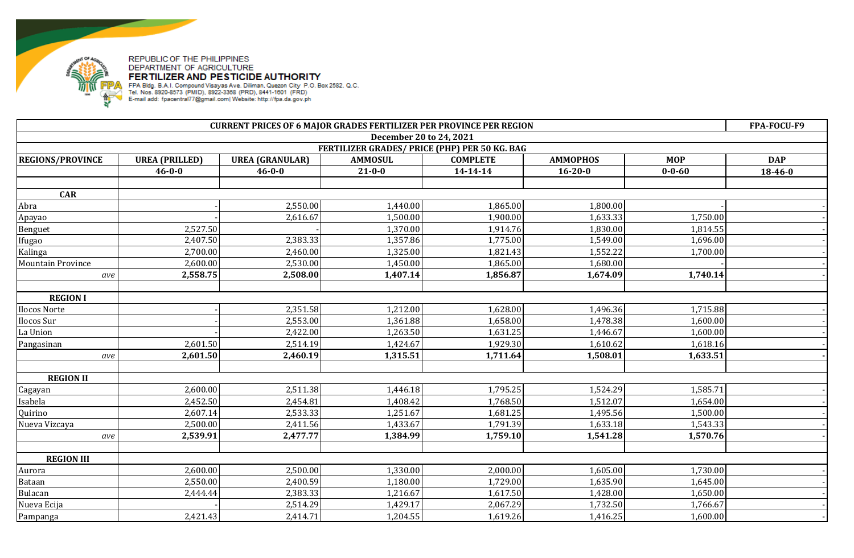

| December 20 to 24, 2021<br>FERTILIZER GRADES/ PRICE (PHP) PER 50 KG. BAG<br><b>MOP</b><br><b>REGIONS/PROVINCE</b><br><b>UREA (PRILLED)</b><br><b>UREA (GRANULAR)</b><br><b>AMMOSUL</b><br><b>COMPLETE</b><br><b>AMMOPHOS</b><br><b>DAP</b><br>$21 - 0 - 0$<br>$14 - 14 - 14$<br>$16 - 20 - 0$<br>$0 - 0 - 60$<br>18-46-0<br>$46 - 0 - 0$<br>$46 - 0 - 0$<br><b>CAR</b><br>2,550.00<br>1,440.00<br>1,865.00<br>1,800.00<br>Abra |  |
|--------------------------------------------------------------------------------------------------------------------------------------------------------------------------------------------------------------------------------------------------------------------------------------------------------------------------------------------------------------------------------------------------------------------------------|--|
|                                                                                                                                                                                                                                                                                                                                                                                                                                |  |
|                                                                                                                                                                                                                                                                                                                                                                                                                                |  |
|                                                                                                                                                                                                                                                                                                                                                                                                                                |  |
|                                                                                                                                                                                                                                                                                                                                                                                                                                |  |
|                                                                                                                                                                                                                                                                                                                                                                                                                                |  |
|                                                                                                                                                                                                                                                                                                                                                                                                                                |  |
|                                                                                                                                                                                                                                                                                                                                                                                                                                |  |
| 2,616.67<br>1,500.00<br>1,900.00<br>1,633.33<br>1,750.00<br>Apayao                                                                                                                                                                                                                                                                                                                                                             |  |
| 2,527.50<br>1,914.76<br>1,814.55<br>Benguet<br>1,370.00<br>1,830.00                                                                                                                                                                                                                                                                                                                                                            |  |
| 2,383.33<br>2,407.50<br>1,357.86<br>1,775.00<br>1,549.00<br>1,696.00<br>Ifugao                                                                                                                                                                                                                                                                                                                                                 |  |
| Kalinga<br>1,552.22<br>2,700.00<br>2,460.00<br>1,325.00<br>1,821.43<br>1,700.00                                                                                                                                                                                                                                                                                                                                                |  |
| 2,530.00<br>1,865.00<br><b>Mountain Province</b><br>2,600.00<br>1,450.00<br>1,680.00                                                                                                                                                                                                                                                                                                                                           |  |
| 2,558.75<br>2,508.00<br>1,856.87<br>1,407.14<br>1,674.09<br>1,740.14<br>ave                                                                                                                                                                                                                                                                                                                                                    |  |
|                                                                                                                                                                                                                                                                                                                                                                                                                                |  |
| <b>REGION I</b>                                                                                                                                                                                                                                                                                                                                                                                                                |  |
| 1,212.00<br>1,628.00<br>2,351.58<br>1,496.36<br>1,715.88<br>Ilocos Norte                                                                                                                                                                                                                                                                                                                                                       |  |
| 2,553.00<br>Ilocos Sur<br>1,361.88<br>1,658.00<br>1,478.38<br>1,600.00                                                                                                                                                                                                                                                                                                                                                         |  |
| 2,422.00<br>1,263.50<br>1,631.25<br>1,600.00<br>La Union<br>1,446.67                                                                                                                                                                                                                                                                                                                                                           |  |
| 2,601.50<br>2,514.19<br>1,424.67<br>1,929.30<br>Pangasinan<br>1,610.62<br>1,618.16                                                                                                                                                                                                                                                                                                                                             |  |
| 2,601.50<br>2,460.19<br>1,315.51<br>1,711.64<br>1,508.01<br>1,633.51<br>ave                                                                                                                                                                                                                                                                                                                                                    |  |
|                                                                                                                                                                                                                                                                                                                                                                                                                                |  |
| <b>REGION II</b>                                                                                                                                                                                                                                                                                                                                                                                                               |  |
| 2,600.00<br>2,511.38<br>1,446.18<br>1,795.25<br>1,524.29<br>1,585.71<br>Cagayan                                                                                                                                                                                                                                                                                                                                                |  |
| 2,452.50<br>2,454.81<br>1,768.50<br>1,512.07<br>Isabela<br>1,408.42<br>1,654.00                                                                                                                                                                                                                                                                                                                                                |  |
| 2,533.33<br>Quirino<br>2,607.14<br>1,251.67<br>1,681.25<br>1,495.56<br>1,500.00                                                                                                                                                                                                                                                                                                                                                |  |
| 2,411.56<br>1,791.39<br>1,633.18<br>1,543.33<br>Nueva Vizcaya<br>2,500.00<br>1,433.67                                                                                                                                                                                                                                                                                                                                          |  |
| 2,539.91<br>2,477.77<br>1,384.99<br>1,759.10<br>1,541.28<br>1,570.76<br>ave                                                                                                                                                                                                                                                                                                                                                    |  |
|                                                                                                                                                                                                                                                                                                                                                                                                                                |  |
| <b>REGION III</b>                                                                                                                                                                                                                                                                                                                                                                                                              |  |
| 2,500.00<br>2,000.00<br>2,600.00<br>1,330.00<br>1,605.00<br>1,730.00<br>Aurora                                                                                                                                                                                                                                                                                                                                                 |  |
| 2,400.59<br>2,550.00<br>1,180.00<br>1,729.00<br>1,635.90<br>1,645.00<br><b>Bataan</b>                                                                                                                                                                                                                                                                                                                                          |  |
| 2,383.33<br>1,428.00<br>1,650.00<br>Bulacan<br>2,444.44<br>1,216.67<br>1,617.50                                                                                                                                                                                                                                                                                                                                                |  |
| 2,514.29<br>2,067.29<br>1,732.50<br>1,766.67<br>Nueva Ecija<br>1,429.17                                                                                                                                                                                                                                                                                                                                                        |  |
| 2,421.43<br>2,414.71<br>1,204.55<br>1,619.26<br>1,416.25<br>1,600.00<br>Pampanga                                                                                                                                                                                                                                                                                                                                               |  |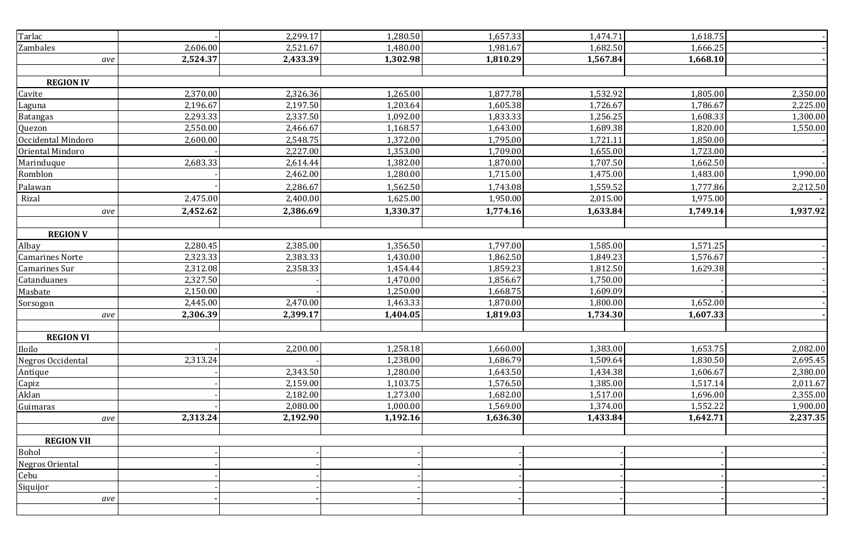| Tarlac                 |          | 2,299.17 | 1,280.50 | 1,657.33 | 1,474.71 | 1,618.75 |          |
|------------------------|----------|----------|----------|----------|----------|----------|----------|
| Zambales               | 2,606.00 | 2,521.67 | 1,480.00 | 1,981.67 | 1,682.50 | 1,666.25 |          |
| ave                    | 2,524.37 | 2,433.39 | 1,302.98 | 1,810.29 | 1,567.84 | 1,668.10 |          |
|                        |          |          |          |          |          |          |          |
| <b>REGION IV</b>       |          |          |          |          |          |          |          |
| Cavite                 | 2,370.00 | 2,326.36 | 1,265.00 | 1,877.78 | 1,532.92 | 1,805.00 | 2,350.00 |
| Laguna                 | 2,196.67 | 2,197.50 | 1,203.64 | 1,605.38 | 1,726.67 | 1,786.67 | 2,225.00 |
| <b>Batangas</b>        | 2,293.33 | 2,337.50 | 1,092.00 | 1,833.33 | 1,256.25 | 1,608.33 | 1,300.00 |
| Quezon                 | 2,550.00 | 2,466.67 | 1,168.57 | 1,643.00 | 1,689.38 | 1,820.00 | 1,550.00 |
| Occidental Mindoro     | 2,600.00 | 2,548.75 | 1,372.00 | 1,795.00 | 1,721.11 | 1,850.00 |          |
| Oriental Mindoro       |          | 2,227.00 | 1,353.00 | 1,709.00 | 1,655.00 | 1,723.00 |          |
| Marinduque             | 2,683.33 | 2,614.44 | 1,382.00 | 1,870.00 | 1,707.50 | 1,662.50 |          |
| Romblon                |          | 2,462.00 | 1,280.00 | 1,715.00 | 1,475.00 | 1,483.00 | 1,990.00 |
| Palawan                |          | 2,286.67 | 1,562.50 | 1,743.08 | 1,559.52 | 1,777.86 | 2,212.50 |
| Rizal                  | 2,475.00 | 2,400.00 | 1,625.00 | 1,950.00 | 2,015.00 | 1,975.00 |          |
| ave                    | 2,452.62 | 2,386.69 | 1,330.37 | 1,774.16 | 1,633.84 | 1,749.14 | 1,937.92 |
|                        |          |          |          |          |          |          |          |
| <b>REGION V</b>        |          |          |          |          |          |          |          |
| Albay                  | 2,280.45 | 2,385.00 | 1,356.50 | 1,797.00 | 1,585.00 | 1,571.25 |          |
| <b>Camarines Norte</b> | 2,323.33 | 2,383.33 | 1,430.00 | 1,862.50 | 1,849.23 | 1,576.67 |          |
| Camarines Sur          | 2,312.08 | 2,358.33 | 1,454.44 | 1,859.23 | 1,812.50 | 1,629.38 |          |
| Catanduanes            | 2,327.50 |          | 1,470.00 | 1,856.67 | 1,750.00 |          |          |
| Masbate                | 2,150.00 |          | 1,250.00 | 1,668.75 | 1,609.09 |          |          |
| Sorsogon               | 2,445.00 | 2,470.00 | 1,463.33 | 1,870.00 | 1,800.00 | 1,652.00 |          |
| ave                    | 2,306.39 | 2,399.17 | 1,404.05 | 1,819.03 | 1,734.30 | 1,607.33 |          |
|                        |          |          |          |          |          |          |          |
| <b>REGION VI</b>       |          |          |          |          |          |          |          |
| Iloilo                 |          | 2,200.00 | 1,258.18 | 1,660.00 | 1,383.00 | 1,653.75 | 2,082.00 |
| Negros Occidental      | 2,313.24 |          | 1,238.00 | 1,686.79 | 1,509.64 | 1,830.50 | 2,695.45 |
| Antique                |          | 2,343.50 | 1,280.00 | 1,643.50 | 1,434.38 | 1,606.67 | 2,380.00 |
| Capiz                  |          | 2,159.00 | 1,103.75 | 1,576.50 | 1,385.00 | 1,517.14 | 2,011.67 |
| Aklan                  |          | 2,182.00 | 1,273.00 | 1,682.00 | 1,517.00 | 1,696.00 | 2,355.00 |
| Guimaras               |          | 2,080.00 | 1,000.00 | 1,569.00 | 1,374.00 | 1,552.22 | 1,900.00 |
| ave                    | 2,313.24 | 2,192.90 | 1,192.16 | 1,636.30 | 1,433.84 | 1,642.71 | 2,237.35 |
|                        |          |          |          |          |          |          |          |
| <b>REGION VII</b>      |          |          |          |          |          |          |          |
| Bohol                  |          |          |          |          |          |          |          |
| Negros Oriental        |          |          |          |          |          |          |          |
| Cebu                   |          |          |          |          |          |          |          |
| Siquijor               |          |          |          |          |          |          |          |
| ave                    |          |          |          |          |          |          |          |
|                        |          |          |          |          |          |          |          |
|                        |          |          |          |          |          |          |          |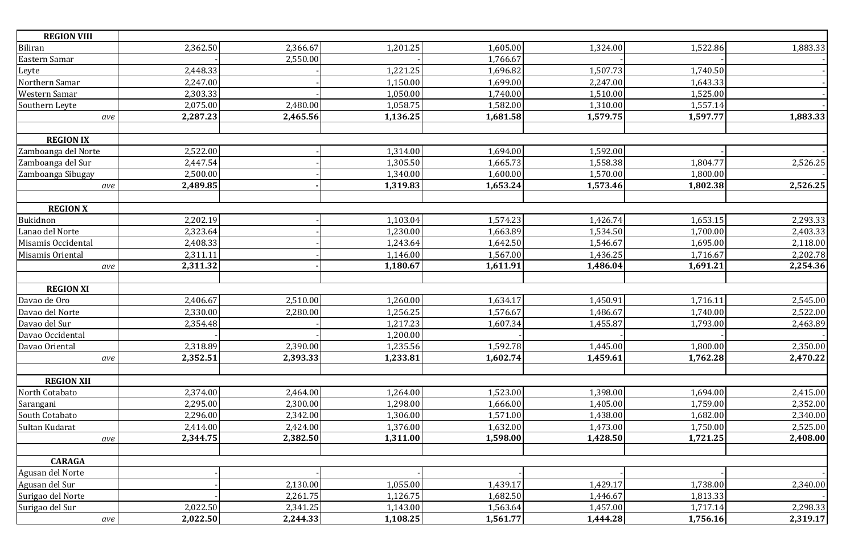| <b>REGION VIII</b>  |          |          |          |          |                       |          |          |
|---------------------|----------|----------|----------|----------|-----------------------|----------|----------|
| Biliran             | 2,362.50 | 2,366.67 | 1,201.25 | 1,605.00 | 1,324.00              | 1,522.86 | 1,883.33 |
| Eastern Samar       |          | 2,550.00 |          | 1,766.67 |                       |          |          |
| Leyte               | 2,448.33 |          | 1,221.25 | 1,696.82 | 1,507.73              | 1,740.50 |          |
| Northern Samar      | 2,247.00 |          | 1,150.00 | 1,699.00 | 2,247.00              | 1,643.33 |          |
| Western Samar       | 2,303.33 |          | 1,050.00 | 1,740.00 | 1,510.00              | 1,525.00 |          |
| Southern Leyte      | 2,075.00 | 2,480.00 | 1,058.75 | 1,582.00 | 1,310.00              | 1,557.14 |          |
| ave                 | 2,287.23 | 2,465.56 | 1,136.25 | 1,681.58 | 1,579.75              | 1,597.77 | 1,883.33 |
|                     |          |          |          |          |                       |          |          |
| <b>REGION IX</b>    |          |          |          |          |                       |          |          |
| Zamboanga del Norte | 2,522.00 |          | 1,314.00 | 1,694.00 | 1,592.00              |          |          |
| Zamboanga del Sur   | 2,447.54 |          | 1,305.50 | 1,665.73 | 1,558.38              | 1,804.77 | 2,526.25 |
| Zamboanga Sibugay   | 2,500.00 |          | 1,340.00 | 1,600.00 | 1,570.00              | 1,800.00 |          |
| ave                 | 2,489.85 |          | 1,319.83 | 1,653.24 | 1,573.46              | 1,802.38 | 2,526.25 |
|                     |          |          |          |          |                       |          |          |
| <b>REGION X</b>     |          |          |          |          |                       |          |          |
| Bukidnon            | 2,202.19 |          | 1,103.04 | 1,574.23 | 1,426.74              | 1,653.15 | 2,293.33 |
| Lanao del Norte     | 2,323.64 |          | 1,230.00 | 1,663.89 | 1,534.50              | 1,700.00 | 2,403.33 |
| Misamis Occidental  | 2,408.33 |          | 1,243.64 | 1,642.50 | 1,546.67              | 1,695.00 | 2,118.00 |
| Misamis Oriental    | 2,311.11 |          | 1,146.00 | 1,567.00 | 1,436.25              | 1,716.67 | 2,202.78 |
| ave                 | 2,311.32 |          | 1,180.67 | 1,611.91 | 1,486.04              | 1,691.21 | 2,254.36 |
|                     |          |          |          |          |                       |          |          |
| <b>REGION XI</b>    |          |          |          |          |                       |          |          |
| Davao de Oro        | 2,406.67 | 2,510.00 | 1,260.00 | 1,634.17 | $1,450.\overline{91}$ | 1,716.11 | 2,545.00 |
| Davao del Norte     | 2,330.00 | 2,280.00 | 1,256.25 | 1,576.67 | 1,486.67              | 1,740.00 | 2,522.00 |
| Davao del Sur       | 2,354.48 |          | 1,217.23 | 1,607.34 | 1,455.87              | 1,793.00 | 2,463.89 |
| Davao Occidental    |          |          | 1,200.00 |          |                       |          |          |
| Davao Oriental      | 2,318.89 | 2,390.00 | 1,235.56 | 1,592.78 | 1,445.00              | 1,800.00 | 2,350.00 |
| ave                 | 2,352.51 | 2,393.33 | 1,233.81 | 1,602.74 | 1,459.61              | 1,762.28 | 2,470.22 |
|                     |          |          |          |          |                       |          |          |
| <b>REGION XII</b>   |          |          |          |          |                       |          |          |
| North Cotabato      | 2,374.00 | 2,464.00 | 1,264.00 | 1,523.00 | 1,398.00              | 1,694.00 | 2,415.00 |
| Sarangani           | 2,295.00 | 2,300.00 | 1,298.00 | 1,666.00 | 1,405.00              | 1,759.00 | 2,352.00 |
| South Cotabato      | 2,296.00 | 2,342.00 | 1,306.00 | 1,571.00 | 1,438.00              | 1,682.00 | 2,340.00 |
| Sultan Kudarat      | 2,414.00 | 2,424.00 | 1,376.00 | 1,632.00 | 1,473.00              | 1,750.00 | 2,525.00 |
| ave                 | 2,344.75 | 2,382.50 | 1,311.00 | 1,598.00 | 1,428.50              | 1,721.25 | 2,408.00 |
|                     |          |          |          |          |                       |          |          |
| <b>CARAGA</b>       |          |          |          |          |                       |          |          |
| Agusan del Norte    |          |          |          |          |                       |          |          |
| Agusan del Sur      |          | 2,130.00 | 1,055.00 | 1,439.17 | 1,429.17              | 1,738.00 | 2,340.00 |
| Surigao del Norte   |          | 2,261.75 | 1,126.75 | 1,682.50 | 1,446.67              | 1,813.33 |          |
| Surigao del Sur     | 2,022.50 | 2,341.25 | 1,143.00 | 1,563.64 | 1,457.00              | 1,717.14 | 2,298.33 |
| $\emph{ave}$        | 2,022.50 | 2,244.33 | 1,108.25 | 1,561.77 | 1,444.28              | 1,756.16 | 2,319.17 |